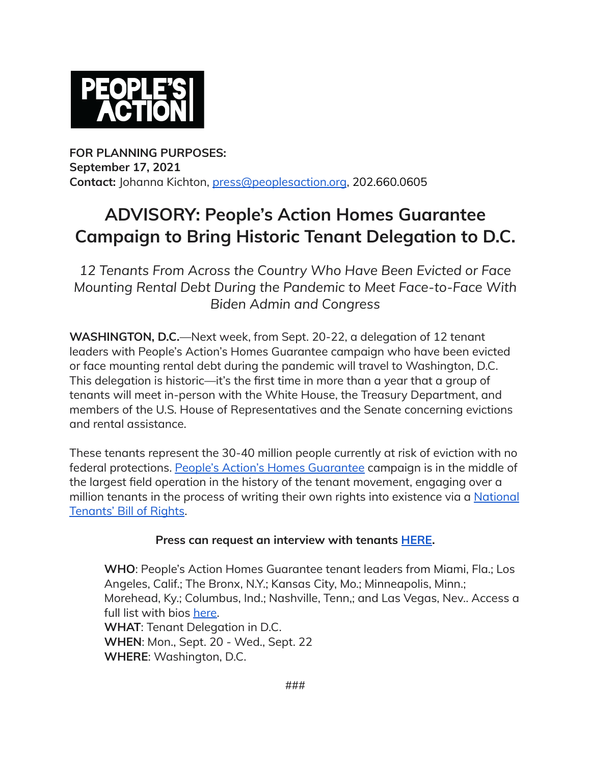

**FOR PLANNING PURPOSES: September 17, 2021 Contact:** Johanna Kichton, [press@peoplesaction.org](mailto:press@peoplesaction.org), 202.660.0605

## **ADVISORY: People's Action Homes Guarantee Campaign to Bring Historic Tenant Delegation to D.C.**

*12 Tenants From Across the Country Who Have Been Evicted or Face Mounting Rental Debt During the Pandemic to Meet Face-to-Face With Biden Admin and Congress*

**WASHINGTON, D.C.**—Next week, from Sept. 20-22, a delegation of 12 tenant leaders with People's Action's Homes Guarantee campaign who have been evicted or face mounting rental debt during the pandemic will travel to Washington, D.C. This delegation is historic—it's the first time in more than a year that a group of tenants will meet in-person with the White House, the Treasury Department, and members of the U.S. House of Representatives and the Senate concerning evictions and rental assistance.

These tenants represent the 30-40 million people currently at risk of eviction with no federal protections. People's Action's Homes [Guarantee](https://homesguarantee.com/) campaign is in the middle of the largest field operation in the history of the tenant movement, engaging over a million tenants in the process of writing their own rights into existence via a [National](https://homesguarantee.com/tenants-bill-of-rights/) [Tenants'](https://homesguarantee.com/tenants-bill-of-rights/) Bill of Rights.

## **Press can request an interview with tenants [HERE.](mailto:press@peoplesaction.org)**

**WHO**: People's Action Homes Guarantee tenant leaders from Miami, Fla.; Los Angeles, Calif.; The Bronx, N.Y.; Kansas City, Mo.; Minneapolis, Minn.; Morehead, Ky.; Columbus, Ind.; Nashville, Tenn,; and Las Vegas, Nev.. Access a full list with bios [here.](https://bit.ly/tenantdelegation) **WHAT**: Tenant Delegation in D.C. **WHEN**: Mon., Sept. 20 - Wed., Sept. 22 **WHERE**: Washington, D.C.